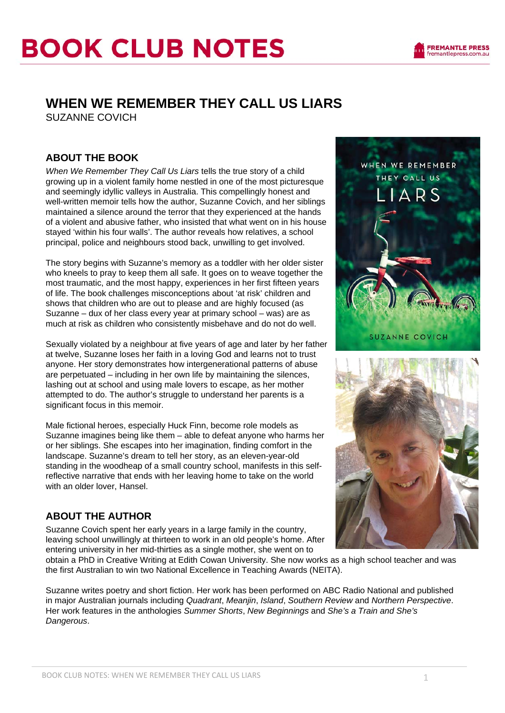## **WHEN WE REMEMBER THEY CALL US LIARS**

SUZANNE COVICH

### **ABOUT THE BOOK**

*When We Remember They Call Us Liars* tells the true story of a child growing up in a violent family home nestled in one of the most picturesque and seemingly idyllic valleys in Australia. This compellingly honest and well-written memoir tells how the author, Suzanne Covich, and her siblings maintained a silence around the terror that they experienced at the hands of a violent and abusive father, who insisted that what went on in his house stayed 'within his four walls'. The author reveals how relatives, a school principal, police and neighbours stood back, unwilling to get involved.

The story begins with Suzanne's memory as a toddler with her older sister who kneels to pray to keep them all safe. It goes on to weave together the most traumatic, and the most happy, experiences in her first fifteen years of life. The book challenges misconceptions about 'at risk' children and shows that children who are out to please and are highly focused (as Suzanne – dux of her class every year at primary school – was) are as much at risk as children who consistently misbehave and do not do well.

Sexually violated by a neighbour at five years of age and later by her father at twelve, Suzanne loses her faith in a loving God and learns not to trust anyone. Her story demonstrates how intergenerational patterns of abuse are perpetuated – including in her own life by maintaining the silences, lashing out at school and using male lovers to escape, as her mother attempted to do. The author's struggle to understand her parents is a significant focus in this memoir.

Male fictional heroes, especially Huck Finn, become role models as Suzanne imagines being like them – able to defeat anyone who harms her or her siblings. She escapes into her imagination, finding comfort in the landscape. Suzanne's dream to tell her story, as an eleven-year-old standing in the woodheap of a small country school, manifests in this selfreflective narrative that ends with her leaving home to take on the world with an older lover, Hansel.

### **ABOUT THE AUTHOR**

Suzanne Covich spent her early years in a large family in the country, leaving school unwillingly at thirteen to work in an old people's home. After entering university in her mid-thirties as a single mother, she went on to



**FREMANTLE PRESS** fremantlepress.com.au



the first Australian to win two National Excellence in Teaching Awards (NEITA). Suzanne writes poetry and short fiction. Her work has been performed on ABC Radio National and published

obtain a PhD in Creative Writing at Edith Cowan University. She now works as a high school teacher and was

in major Australian journals including *Quadrant*, *Meanjin*, *Island*, *Southern Review* and *Northern Perspective*. Her work features in the anthologies *Summer Shorts*, *New Beginnings* and *She's a Train and She's Dangerous*.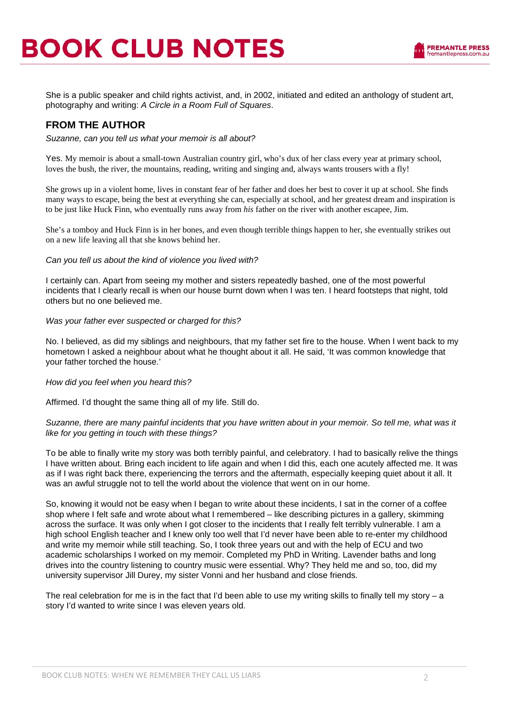She is a public speaker and child rights activist, and, in 2002, initiated and edited an anthology of student art, photography and writing: *A Circle in a Room Full of Squares*.

### **FROM THE AUTHOR**

*Suzanne, can you tell us what your memoir is all about?* 

Yes. My memoir is about a small-town Australian country girl, who's dux of her class every year at primary school, loves the bush, the river, the mountains, reading, writing and singing and, always wants trousers with a fly!

She grows up in a violent home, lives in constant fear of her father and does her best to cover it up at school. She finds many ways to escape, being the best at everything she can, especially at school, and her greatest dream and inspiration is to be just like Huck Finn, who eventually runs away from *his* father on the river with another escapee, Jim.

She's a tomboy and Huck Finn is in her bones, and even though terrible things happen to her, she eventually strikes out on a new life leaving all that she knows behind her.

### *Can you tell us about the kind of violence you lived with?*

I certainly can. Apart from seeing my mother and sisters repeatedly bashed, one of the most powerful incidents that I clearly recall is when our house burnt down when I was ten. I heard footsteps that night, told others but no one believed me.

### *Was your father ever suspected or charged for this?*

No. I believed, as did my siblings and neighbours, that my father set fire to the house. When I went back to my hometown I asked a neighbour about what he thought about it all. He said, 'It was common knowledge that your father torched the house.'

### *How did you feel when you heard this?*

Affirmed. I'd thought the same thing all of my life. Still do.

### *Suzanne, there are many painful incidents that you have written about in your memoir. So tell me, what was it like for you getting in touch with these things?*

To be able to finally write my story was both terribly painful, and celebratory. I had to basically relive the things I have written about. Bring each incident to life again and when I did this, each one acutely affected me. It was as if I was right back there, experiencing the terrors and the aftermath, especially keeping quiet about it all. It was an awful struggle not to tell the world about the violence that went on in our home.

So, knowing it would not be easy when I began to write about these incidents, I sat in the corner of a coffee shop where I felt safe and wrote about what I remembered – like describing pictures in a gallery, skimming across the surface. It was only when I got closer to the incidents that I really felt terribly vulnerable. I am a high school English teacher and I knew only too well that I'd never have been able to re-enter my childhood and write my memoir while still teaching. So, I took three years out and with the help of ECU and two academic scholarships I worked on my memoir. Completed my PhD in Writing. Lavender baths and long drives into the country listening to country music were essential. Why? They held me and so, too, did my university supervisor Jill Durey, my sister Vonni and her husband and close friends.

The real celebration for me is in the fact that I'd been able to use my writing skills to finally tell my story  $-$  a story I'd wanted to write since I was eleven years old.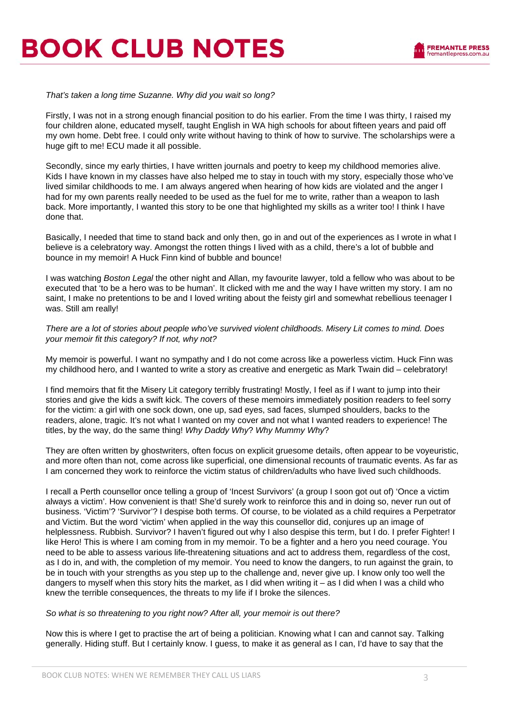# **BOOK CLUB NOTES**

*That's taken a long time Suzanne. Why did you wait so long?* 

Firstly, I was not in a strong enough financial position to do his earlier. From the time I was thirty, I raised my four children alone, educated myself, taught English in WA high schools for about fifteen years and paid off my own home. Debt free. I could only write without having to think of how to survive. The scholarships were a huge gift to me! ECU made it all possible.

Secondly, since my early thirties, I have written journals and poetry to keep my childhood memories alive. Kids I have known in my classes have also helped me to stay in touch with my story, especially those who've lived similar childhoods to me. I am always angered when hearing of how kids are violated and the anger I had for my own parents really needed to be used as the fuel for me to write, rather than a weapon to lash back. More importantly, I wanted this story to be one that highlighted my skills as a writer too! I think I have done that.

Basically, I needed that time to stand back and only then, go in and out of the experiences as I wrote in what I believe is a celebratory way. Amongst the rotten things I lived with as a child, there's a lot of bubble and bounce in my memoir! A Huck Finn kind of bubble and bounce!

I was watching *Boston Legal* the other night and Allan, my favourite lawyer, told a fellow who was about to be executed that 'to be a hero was to be human'. It clicked with me and the way I have written my story. I am no saint, I make no pretentions to be and I loved writing about the feisty girl and somewhat rebellious teenager I was. Still am really!

*There are a lot of stories about people who've survived violent childhoods. Misery Lit comes to mind. Does your memoir fit this category? If not, why not?* 

My memoir is powerful. I want no sympathy and I do not come across like a powerless victim. Huck Finn was my childhood hero, and I wanted to write a story as creative and energetic as Mark Twain did – celebratory!

I find memoirs that fit the Misery Lit category terribly frustrating! Mostly, I feel as if I want to jump into their stories and give the kids a swift kick. The covers of these memoirs immediately position readers to feel sorry for the victim: a girl with one sock down, one up, sad eyes, sad faces, slumped shoulders, backs to the readers, alone, tragic. It's not what I wanted on my cover and not what I wanted readers to experience! The titles, by the way, do the same thing! *Why Daddy Why*? *Why Mummy Why*?

They are often written by ghostwriters, often focus on explicit gruesome details, often appear to be voyeuristic, and more often than not, come across like superficial, one dimensional recounts of traumatic events. As far as I am concerned they work to reinforce the victim status of children/adults who have lived such childhoods.

I recall a Perth counsellor once telling a group of 'Incest Survivors' (a group I soon got out of) 'Once a victim always a victim'. How convenient is that! She'd surely work to reinforce this and in doing so, never run out of business. 'Victim'? 'Survivor'? I despise both terms. Of course, to be violated as a child requires a Perpetrator and Victim. But the word 'victim' when applied in the way this counsellor did, conjures up an image of helplessness. Rubbish. Survivor? I haven't figured out why I also despise this term, but I do. I prefer Fighter! I like Hero! This is where I am coming from in my memoir. To be a fighter and a hero you need courage. You need to be able to assess various life-threatening situations and act to address them, regardless of the cost, as I do in, and with, the completion of my memoir. You need to know the dangers, to run against the grain, to be in touch with your strengths as you step up to the challenge and, never give up. I know only too well the dangers to myself when this story hits the market, as I did when writing it – as I did when I was a child who knew the terrible consequences, the threats to my life if I broke the silences.

### *So what is so threatening to you right now? After all, your memoir is out there?*

Now this is where I get to practise the art of being a politician. Knowing what I can and cannot say. Talking generally. Hiding stuff. But I certainly know. I guess, to make it as general as I can, I'd have to say that the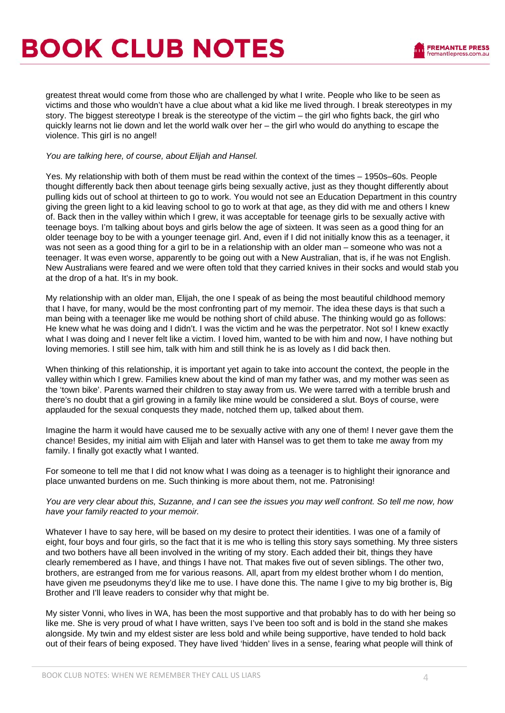# **BOOK CLUB NOTES**

greatest threat would come from those who are challenged by what I write. People who like to be seen as victims and those who wouldn't have a clue about what a kid like me lived through. I break stereotypes in my story. The biggest stereotype I break is the stereotype of the victim – the girl who fights back, the girl who quickly learns not lie down and let the world walk over her – the girl who would do anything to escape the violence. This girl is no angel!

### *You are talking here, of course, about Elijah and Hansel.*

Yes. My relationship with both of them must be read within the context of the times – 1950s–60s. People thought differently back then about teenage girls being sexually active, just as they thought differently about pulling kids out of school at thirteen to go to work. You would not see an Education Department in this country giving the green light to a kid leaving school to go to work at that age, as they did with me and others I knew of. Back then in the valley within which I grew, it was acceptable for teenage girls to be sexually active with teenage boys. I'm talking about boys and girls below the age of sixteen. It was seen as a good thing for an older teenage boy to be with a younger teenage girl. And, even if I did not initially know this as a teenager, it was not seen as a good thing for a girl to be in a relationship with an older man – someone who was not a teenager. It was even worse, apparently to be going out with a New Australian, that is, if he was not English. New Australians were feared and we were often told that they carried knives in their socks and would stab you at the drop of a hat. It's in my book.

My relationship with an older man, Elijah, the one I speak of as being the most beautiful childhood memory that I have, for many, would be the most confronting part of my memoir. The idea these days is that such a man being with a teenager like me would be nothing short of child abuse. The thinking would go as follows: He knew what he was doing and I didn't. I was the victim and he was the perpetrator. Not so! I knew exactly what I was doing and I never felt like a victim. I loved him, wanted to be with him and now, I have nothing but loving memories. I still see him, talk with him and still think he is as lovely as I did back then.

When thinking of this relationship, it is important yet again to take into account the context, the people in the valley within which I grew. Families knew about the kind of man my father was, and my mother was seen as the 'town bike'. Parents warned their children to stay away from us. We were tarred with a terrible brush and there's no doubt that a girl growing in a family like mine would be considered a slut. Boys of course, were applauded for the sexual conquests they made, notched them up, talked about them.

Imagine the harm it would have caused me to be sexually active with any one of them! I never gave them the chance! Besides, my initial aim with Elijah and later with Hansel was to get them to take me away from my family. I finally got exactly what I wanted.

For someone to tell me that I did not know what I was doing as a teenager is to highlight their ignorance and place unwanted burdens on me. Such thinking is more about them, not me. Patronising!

### *You are very clear about this, Suzanne, and I can see the issues you may well confront. So tell me now, how have your family reacted to your memoir.*

Whatever I have to say here, will be based on my desire to protect their identities. I was one of a family of eight, four boys and four girls, so the fact that it is me who is telling this story says something. My three sisters and two bothers have all been involved in the writing of my story. Each added their bit, things they have clearly remembered as I have, and things I have not. That makes five out of seven siblings. The other two, brothers, are estranged from me for various reasons. All, apart from my eldest brother whom I do mention, have given me pseudonyms they'd like me to use. I have done this. The name I give to my big brother is, Big Brother and I'll leave readers to consider why that might be.

My sister Vonni, who lives in WA, has been the most supportive and that probably has to do with her being so like me. She is very proud of what I have written, says I've been too soft and is bold in the stand she makes alongside. My twin and my eldest sister are less bold and while being supportive, have tended to hold back out of their fears of being exposed. They have lived 'hidden' lives in a sense, fearing what people will think of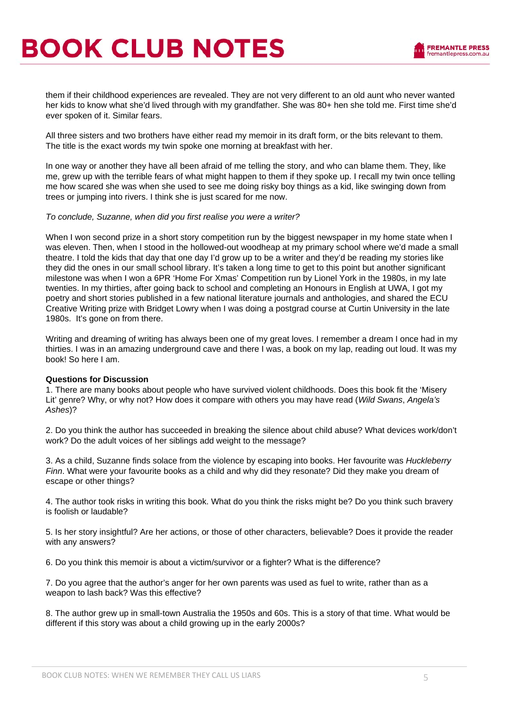them if their childhood experiences are revealed. They are not very different to an old aunt who never wanted her kids to know what she'd lived through with my grandfather. She was 80+ hen she told me. First time she'd ever spoken of it. Similar fears.

All three sisters and two brothers have either read my memoir in its draft form, or the bits relevant to them. The title is the exact words my twin spoke one morning at breakfast with her.

In one way or another they have all been afraid of me telling the story, and who can blame them. They, like me, grew up with the terrible fears of what might happen to them if they spoke up. I recall my twin once telling me how scared she was when she used to see me doing risky boy things as a kid, like swinging down from trees or jumping into rivers. I think she is just scared for me now.

### *To conclude, Suzanne, when did you first realise you were a writer?*

When I won second prize in a short story competition run by the biggest newspaper in my home state when I was eleven. Then, when I stood in the hollowed-out woodheap at my primary school where we'd made a small theatre. I told the kids that day that one day I'd grow up to be a writer and they'd be reading my stories like they did the ones in our small school library. It's taken a long time to get to this point but another significant milestone was when I won a 6PR 'Home For Xmas' Competition run by Lionel York in the 1980s, in my late twenties. In my thirties, after going back to school and completing an Honours in English at UWA, I got my poetry and short stories published in a few national literature journals and anthologies, and shared the ECU Creative Writing prize with Bridget Lowry when I was doing a postgrad course at Curtin University in the late 1980s. It's gone on from there.

Writing and dreaming of writing has always been one of my great loves. I remember a dream I once had in my thirties. I was in an amazing underground cave and there I was, a book on my lap, reading out loud. It was my book! So here I am.

### **Questions for Discussion**

1. There are many books about people who have survived violent childhoods. Does this book fit the 'Misery Lit' genre? Why, or why not? How does it compare with others you may have read (*Wild Swans*, *Angela's Ashes*)?

2. Do you think the author has succeeded in breaking the silence about child abuse? What devices work/don't work? Do the adult voices of her siblings add weight to the message?

3. As a child, Suzanne finds solace from the violence by escaping into books. Her favourite was *Huckleberry Finn*. What were your favourite books as a child and why did they resonate? Did they make you dream of escape or other things?

4. The author took risks in writing this book. What do you think the risks might be? Do you think such bravery is foolish or laudable?

5. Is her story insightful? Are her actions, or those of other characters, believable? Does it provide the reader with any answers?

6. Do you think this memoir is about a victim/survivor or a fighter? What is the difference?

7. Do you agree that the author's anger for her own parents was used as fuel to write, rather than as a weapon to lash back? Was this effective?

8. The author grew up in small-town Australia the 1950s and 60s. This is a story of that time. What would be different if this story was about a child growing up in the early 2000s?